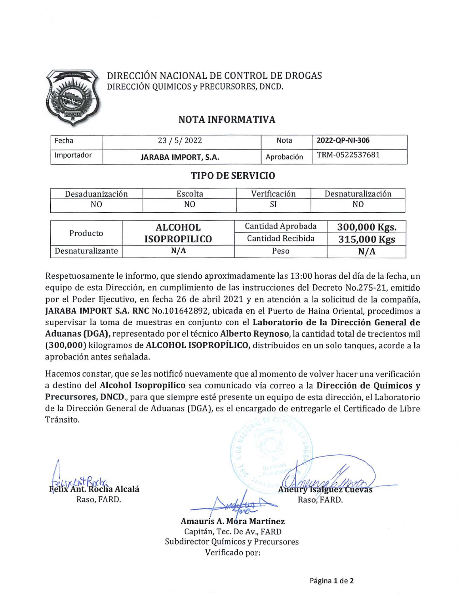

## DIRECCIÓN NACIONAL DE CONTROL DE DROGAS DIRECCIÓN QUIMICOS y PRECURSORES, DNCD.

# NOTA INFORMATIVA

| Fecha      | 23 / 5 / 2022       | Nota       | 2022-QP-NI-306 |
|------------|---------------------|------------|----------------|
| Importador | JARABA IMPORT, S.A. | Aprobación | TRM-0522537681 |

## TIPO DE SERVICIO

| Desaduanización  | Escolta             | Verificación      | Desnaturalización |  |  |
|------------------|---------------------|-------------------|-------------------|--|--|
| N0               | NO                  | SI                | NO                |  |  |
|                  | <b>ALCOHOL</b>      | Cantidad Aprobada | 300,000 Kgs.      |  |  |
| Producto         | <b>ISOPROPILICO</b> | Cantidad Recibida | 315,000 Kgs       |  |  |
| Desnaturalizante | N/A                 | Peso              | N/A               |  |  |

Respetuosamente le informo, que siendo aproximadamente las 13:00 horas del día de la fecha, un equipo de esta Dirección, en cumplimiento de las instrucciones del Decreto No.275-21, emitido por el Poder Ejecutivo, en fecha 26 de abril 2021 y en atención a la solicitud de la compañía, JARABA IMPORT S.A. RNC No.101642892, ubicada en el Puerto de Haina Oriental, procedimos a supervisar la toma de muestras en conjunto con el Laboratorio de la Dirección General de Aduanas (DGA), representado por el técnico Alberto Reynoso, la cantidad total de trecientos mil (300,000) kilogramos de ALCOHOL ISOPROPÍLICO, distribuidos en un solo tanques, acorde a la aprobación antes señalada.

Hacemos constar, que se les notificó nuevamente que al momento de volver hacer una verificación a destino del Alcohol Isopropilico sea comunicado vía correo a la Dirección de Químicos y Precursores, DNCD., para que siempre esté presente un equipo de esta dirección, el Laboratorio de la Dirección General de Aduanas (DGA), es el encargado de entregarle el Certificado de Libre Tránsito.

ocha Alcalá

~ **Aneury Isalguez Cuevas** Raso, FARD.  $\triangle$   $\triangle$   $\triangle$  Raso. FARD.

Amauris A. Mora Martínez Capitán, Tec. De Av., FARD Subdirector Químicos y Precursores Verificado por: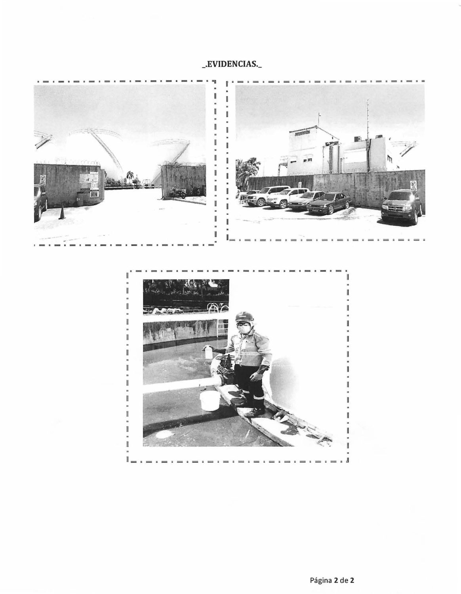# \_EVIDENCIAS.



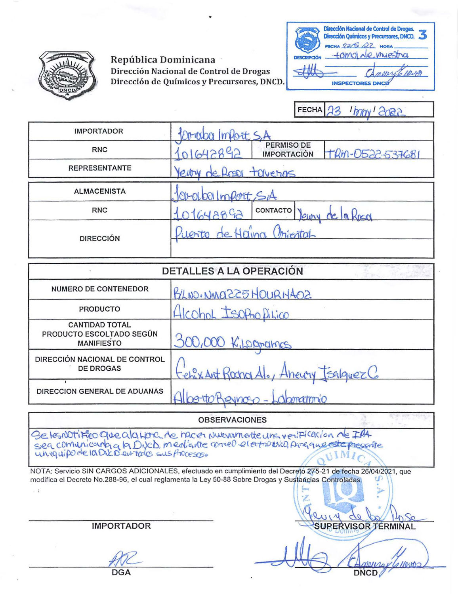

## República Dominicana Dirección Nacional de Control de Drogas Dirección de Químicos y Precursores, DNCD.

| Dirección Nacional de Control de Drogas.<br>Dirección Químicos y Precursores, DNCD.<br>FECHA 23/5 22 HORA |
|-----------------------------------------------------------------------------------------------------------|
| tomo de muestra<br><b>DESCRIPCIÓN</b>                                                                     |
| nearite ward                                                                                              |
| <b>INSPECTORES DNO</b>                                                                                    |

|                      | <b>FECHA</b><br>SSOS 'VORA'                                            |
|----------------------|------------------------------------------------------------------------|
| <b>IMPORTADOR</b>    | Orraba Import S.A                                                      |
| <b>RNC</b>           | <b>PERMISO DE</b><br>01642892<br>TRM-0522-537681<br><b>IMPORTACIÓN</b> |
| <b>REPRESENTANTE</b> | Yeary de Roser terveros                                                |
| <b>ALMACENISTA</b>   | 101-01001 Import SiA                                                   |
| <b>RNC</b>           | CONTACTO<br>0164882<br>de la Rosa<br>leury                             |
| <b>DIRECCIÓN</b>     | Puerto de Haina Oniental                                               |

|                                                                        | DETALLES A LA OPERACIÓN                 |
|------------------------------------------------------------------------|-----------------------------------------|
| NUMERO DE CONTENEDOR                                                   | BLNO. NMAZZ5HOURH402                    |
| <b>PRODUCTO</b>                                                        | Alcohol Isopho DiLico                   |
| <b>CANTIDAD TOTAL</b><br>PRODUCTO ESCOLTADO SEGÚN<br><b>MANIFIESTO</b> | 300,000 K. Logrances                    |
| DIRECCIÓN NACIONAL DE CONTROL<br><b>DE DROGAS</b>                      | Fehr Ant Rochol Alo, Aneury Tsalguez Co |
| DIRECCION GENERAL DE ADUANAS                                           | to Revisoro - Laboratorio               |

OBSERVACIONES

Se les notifico que ala Hona de nacer muevamente una verificación de IBA sea comunicanta la DVCD mediante correo el extravulgo Avague este presente  $VIMIc$ 

NOTA: Servicio SIN CARGOS ADICIONALES, efectuado en cumplimiento del Decretó 275-21 de fecha 26/04/2021, que modifica el Decreto No.288-96, el cual reglamenta la Ley 50-88 Sobre Drogas y Sustancias Controladas.

IMPORTADOR

 $\cdot$  :

PERVISOR TERMINAL **DNCD** 

DGA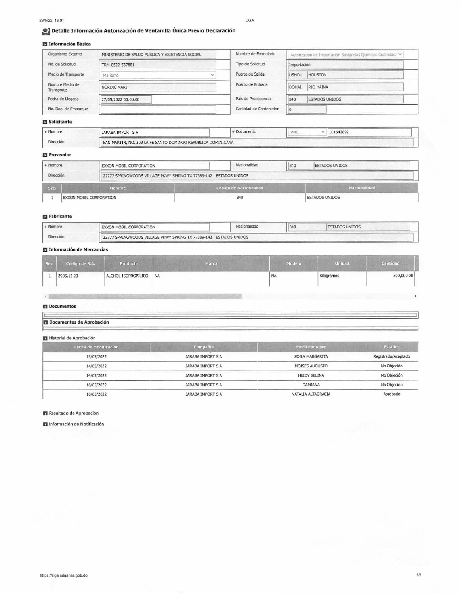#### 23/5/22, 16:01

DGA

### Detalle Información Autorización de Ventanilla Única Previo Declaración

### **El Información Básica**

| Organismo Externo             | MINISTERIO DE SALUD PUBLICA Y ASISTENCIA SOCIAL | Nombre de Formulario   |              | Autorización de Importación Sustancias Químicas Controladi V |  |
|-------------------------------|-------------------------------------------------|------------------------|--------------|--------------------------------------------------------------|--|
| No. de Solicitud              | TRM-0522-537681                                 | Tipo de Solicitud      | Importación  |                                                              |  |
| Medio de Transporte           | Marítimo                                        | Puerto de Salida       | <b>USHOU</b> | <b>HOUSTON</b>                                               |  |
| Nombre Medio de<br>Transporte | NORDIC MARI                                     | Puerto de Entrada      | DOHAI        | RIO HAINA                                                    |  |
| Fecha de Llegada              | 27/05/2022 00:00:00                             | País de Procedencia    | 840          | <b>ESTADOS UNIDOS</b>                                        |  |
| No. Doc. de Embarque          |                                                 | Cantidad de Contenedor |              |                                                              |  |

### Solicitante

| Nombre    | JARABA IMPORT S A                                            | Documento | 5.616 | 101642892 |
|-----------|--------------------------------------------------------------|-----------|-------|-----------|
| Dirección | SAN MARTIN, NO. 209 LA FE SANTO DOMINGO REPÚBLICA DOMINICANA |           |       |           |

#### **Proveedor**

| + Nombre  | <b>EXXON MOBIL CORPORATION</b> | Nacionalidad                                                      | 840 | <b>ESTADOS UNIDOS</b> |  |  |
|-----------|--------------------------------|-------------------------------------------------------------------|-----|-----------------------|--|--|
| Dirección |                                | 22777 SPRINGWOODS VILLAGE PKWY SPRING TX 77389-142 ESTADOS UNIDOS |     |                       |  |  |
| Sec.      | <b>Nombre</b>                  | Codigo de Nacionalidad                                            |     | Nacionalidad          |  |  |
|           | EXXON MOBIL CORPORATION        | 840                                                               |     | <b>ESTADOS UNIDOS</b> |  |  |

#### **El** Fabricante

| Nombre    | EXXON MOBIL CORPORATION                                           | Nacionalidad | 840 | <b>ESTADOS UNIDOS</b> |
|-----------|-------------------------------------------------------------------|--------------|-----|-----------------------|
| Dirección | 22777 SPRINGWOODS VILLAGE PKWY SPRING TX 77389-142 ESTADOS UNIDOS |              |     |                       |

### **El** Información de Mercancías

| Sec. | Código de S.A. | Producto            | Marca | Modelo    | <b>Unidad</b> | Cantidad   |
|------|----------------|---------------------|-------|-----------|---------------|------------|
|      | 2905.12.20     | ALCHOL ISOPROPILICO | NA    | <b>NA</b> | Kilogramos    | 300,000.00 |

#### Documentos

 $\epsilon$ 

### Documentos de Aprobación

#### Historial de Aprobación

| Fecha de Modificación | Compañia          | Modificado por      | <b>Estados</b>      |  |
|-----------------------|-------------------|---------------------|---------------------|--|
| 13/05/2022            | JARABA IMPORT S A | ZOILA MARGARITA     | Registrado/Aceptado |  |
| 14/05/2022            | JARABA IMPORT S A | MOISES AUGUSTO      | No Objeción         |  |
| 14/05/2022            | JARABA IMPORT S A | <b>HEIDY SELINA</b> | No Objeción         |  |
| 16/05/2022            | JARABA IMPORT S A | DAMIANA             | No Objeción         |  |
| 16/05/2022            | JARABA IMPORT S A | NATALIA ALTAGRACIA  | Aprobado            |  |

#### Resultado de Aprobación

Información de Notificación

k,